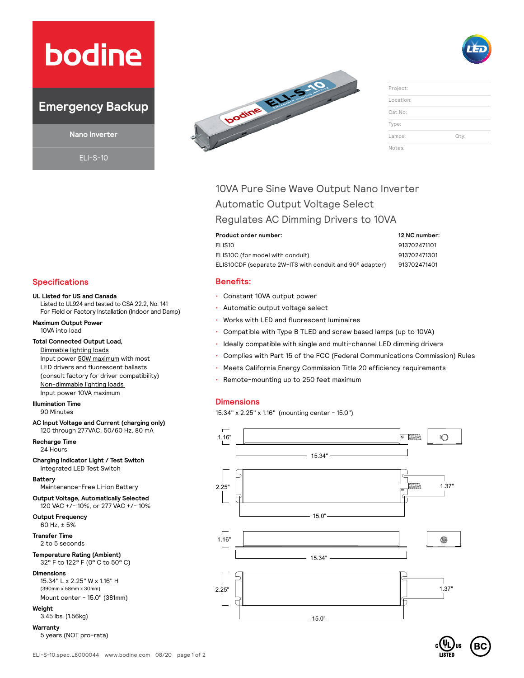# **bodine**

# **Emergency Backup**

**Nano Inverter**

ELI-S-10



| Project:  |      |
|-----------|------|
| Location: |      |
| Cat.No:   |      |
| Type:     |      |
| Lamps:    | Qty: |
| Notes:    |      |

# 10VA Pure Sine Wave Output Nano Inverter Automatic Output Voltage Select Regulates AC Dimming Drivers to 10VA

**Product order number: 12 NC number:** ELIS10 913702471101 ELIS10C (for model with conduit) 913702471301 ELIS10CDF (separate 2W-ITS with conduit and 90° adapter) 913702471401

#### **Benefits:**

- Constant 10VA output power
- Automatic output voltage select
- Works with LED and fluorescent luminaires
- Compatible with Type B TLED and screw based lamps (up to 10VA)
- Ideally compatible with single and multi-channel LED dimming drivers
- Complies with Part 15 of the FCC (Federal Communications Commission) Rules
- Meets California Energy Commission Title 20 efficiency requirements
- Remote-mounting up to 250 feet maximum

#### **Dimensions**

15.34" x 2.25" x 1.16" (mounting center - 15.0")



### **Specifications**

#### **UL Listed for US and Canada**

Listed to UL924 and tested to CSA 22.2, No. 141 For Field or Factory Installation (Indoor and Damp)

**Maximum Output Power**  10VA into load

#### **Total Connected Output Load,**

Dimmable lighting loads Input power 50W maximum with most LED drivers and fluorescent ballasts (consult factory for driver compatibility) Non-dimmable lighting loads Input power 10VA maximum

**Illumination Time**  90 Minutes

**AC Input Voltage and Current (charging only)** 120 through 277VAC, 50/60 Hz, 80 mA

**Recharge Time**

24 Hours

**Charging Indicator Light / Test Switch** Integrated LED Test Switch

**Battery**

Maintenance-Free Li-ion Battery

**Output Voltage, Automatically Selected** 120 VAC +/- 10%, or 277 VAC +/- 10%

**Output Frequency** 60 Hz, ± 5%

**Transfer Time** 2 to 5 seconds

#### **Temperature Rating (Ambient)** 32° F to 122° F (0° C to 50° C)

**Dimensions** 15.34" L x 2.25" W x 1.16" H (390mm x 58mm x 30mm)

Mount center - 15.0" (381mm) **Weight**

## 3.45 lbs. (1.56kg)

**Warranty** 

5 years (NOT pro-rata)